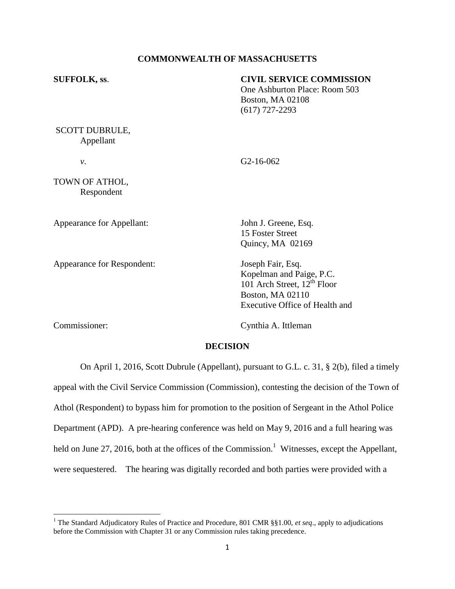# **COMMONWEALTH OF MASSACHUSETTS**

| <b>SUFFOLK, ss.</b>                | <b>CIVIL SERVICE COMMISSION</b><br>One Ashburton Place: Room 503<br><b>Boston, MA 02108</b><br>$(617)$ 727-2293 |  |  |
|------------------------------------|-----------------------------------------------------------------------------------------------------------------|--|--|
| <b>SCOTT DUBRULE,</b><br>Appellant |                                                                                                                 |  |  |
| ν.                                 | G <sub>2</sub> -16-06 <sub>2</sub>                                                                              |  |  |
| TOWN OF ATHOL,<br>Respondent       |                                                                                                                 |  |  |
| Appearance for Appellant:          | John J. Greene, Esq.<br>15 Foster Street<br>Quincy, MA 02169                                                    |  |  |

Appearance for Respondent: Joseph Fair, Esq.

Kopelman and Paige, P.C.  $101$  Arch Street,  $12^{th}$  Floor Boston, MA 02110 Executive Office of Health and

 $\overline{\phantom{a}}$ 

Commissioner: Cynthia A. Ittleman

### **DECISION**

On April 1, 2016, Scott Dubrule (Appellant), pursuant to G.L. c. 31, § 2(b), filed a timely appeal with the Civil Service Commission (Commission), contesting the decision of the Town of Athol (Respondent) to bypass him for promotion to the position of Sergeant in the Athol Police Department (APD). A pre-hearing conference was held on May 9, 2016 and a full hearing was held on June 27, 2016, both at the offices of the Commission.<sup>1</sup> Witnesses, except the Appellant, were sequestered. The hearing was digitally recorded and both parties were provided with a

<sup>&</sup>lt;sup>1</sup> The Standard Adjudicatory Rules of Practice and Procedure, 801 CMR §§1.00, *et seq.*, apply to adjudications before the Commission with Chapter 31 or any Commission rules taking precedence.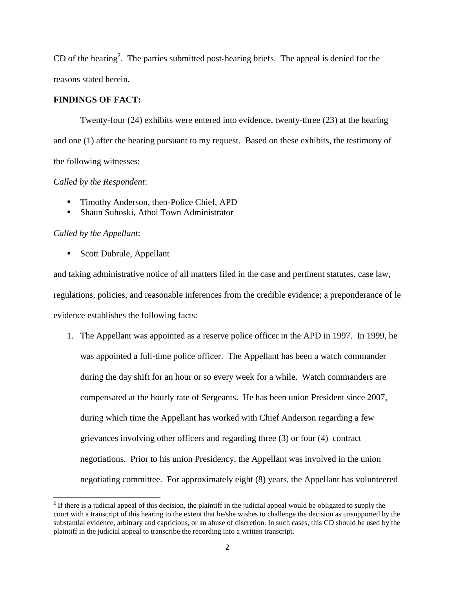CD of the hearing<sup>2</sup>. The parties submitted post-hearing briefs. The appeal is denied for the reasons stated herein.

# **FINDINGS OF FACT:**

Twenty-four (24) exhibits were entered into evidence, twenty-three (23) at the hearing and one (1) after the hearing pursuant to my request. Based on these exhibits, the testimony of the following witnesses:

# *Called by the Respondent*:

- **Timothy Anderson, then-Police Chief, APD**
- Shaun Suhoski, Athol Town Administrator

# *Called by the Appellant*:

 $\overline{\phantom{a}}$ 

■ Scott Dubrule, Appellant

and taking administrative notice of all matters filed in the case and pertinent statutes, case law, regulations, policies, and reasonable inferences from the credible evidence; a preponderance of le evidence establishes the following facts:

1. The Appellant was appointed as a reserve police officer in the APD in 1997. In 1999, he was appointed a full-time police officer. The Appellant has been a watch commander during the day shift for an hour or so every week for a while. Watch commanders are compensated at the hourly rate of Sergeants. He has been union President since 2007, during which time the Appellant has worked with Chief Anderson regarding a few grievances involving other officers and regarding three (3) or four (4) contract negotiations. Prior to his union Presidency, the Appellant was involved in the union negotiating committee. For approximately eight (8) years, the Appellant has volunteered

 $2<sup>2</sup>$  If there is a judicial appeal of this decision, the plaintiff in the judicial appeal would be obligated to supply the court with a transcript of this hearing to the extent that he/she wishes to challenge the decision as unsupported by the substantial evidence, arbitrary and capricious, or an abuse of discretion. In such cases, this CD should be used by the plaintiff in the judicial appeal to transcribe the recording into a written transcript.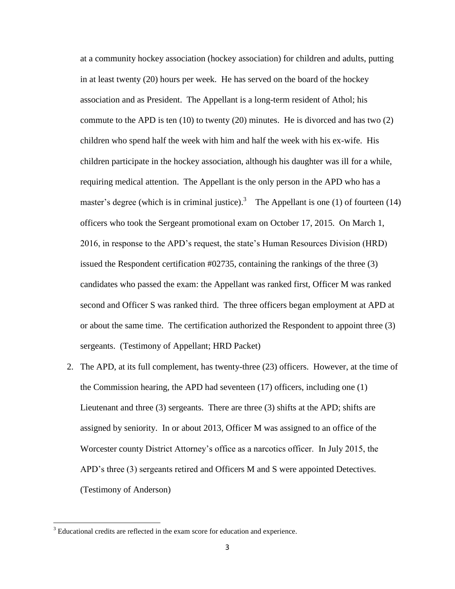at a community hockey association (hockey association) for children and adults, putting in at least twenty (20) hours per week. He has served on the board of the hockey association and as President. The Appellant is a long-term resident of Athol; his commute to the APD is ten  $(10)$  to twenty  $(20)$  minutes. He is divorced and has two  $(2)$ children who spend half the week with him and half the week with his ex-wife. His children participate in the hockey association, although his daughter was ill for a while, requiring medical attention. The Appellant is the only person in the APD who has a master's degree (which is in criminal justice).<sup>3</sup> The Appellant is one (1) of fourteen (14) officers who took the Sergeant promotional exam on October 17, 2015. On March 1, 2016, in response to the APD's request, the state's Human Resources Division (HRD) issued the Respondent certification #02735, containing the rankings of the three (3) candidates who passed the exam: the Appellant was ranked first, Officer M was ranked second and Officer S was ranked third. The three officers began employment at APD at or about the same time. The certification authorized the Respondent to appoint three (3) sergeants. (Testimony of Appellant; HRD Packet)

2. The APD, at its full complement, has twenty-three (23) officers. However, at the time of the Commission hearing, the APD had seventeen (17) officers, including one (1) Lieutenant and three (3) sergeants. There are three (3) shifts at the APD; shifts are assigned by seniority. In or about 2013, Officer M was assigned to an office of the Worcester county District Attorney's office as a narcotics officer. In July 2015, the APD's three (3) sergeants retired and Officers M and S were appointed Detectives. (Testimony of Anderson)

<sup>&</sup>lt;sup>3</sup> Educational credits are reflected in the exam score for education and experience.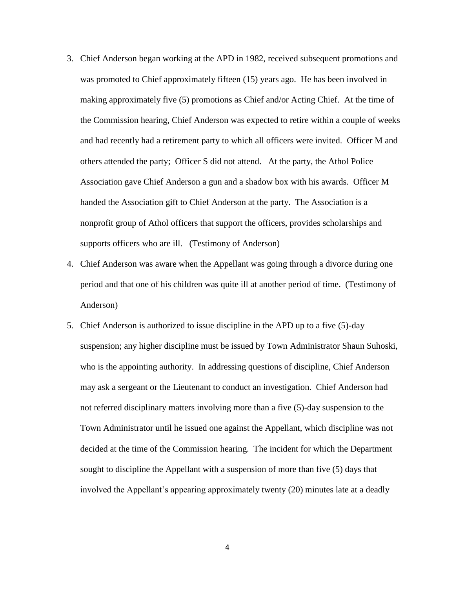- 3. Chief Anderson began working at the APD in 1982, received subsequent promotions and was promoted to Chief approximately fifteen (15) years ago. He has been involved in making approximately five (5) promotions as Chief and/or Acting Chief. At the time of the Commission hearing, Chief Anderson was expected to retire within a couple of weeks and had recently had a retirement party to which all officers were invited. Officer M and others attended the party; Officer S did not attend. At the party, the Athol Police Association gave Chief Anderson a gun and a shadow box with his awards. Officer M handed the Association gift to Chief Anderson at the party. The Association is a nonprofit group of Athol officers that support the officers, provides scholarships and supports officers who are ill. (Testimony of Anderson)
- 4. Chief Anderson was aware when the Appellant was going through a divorce during one period and that one of his children was quite ill at another period of time. (Testimony of Anderson)
- 5. Chief Anderson is authorized to issue discipline in the APD up to a five (5)-day suspension; any higher discipline must be issued by Town Administrator Shaun Suhoski, who is the appointing authority. In addressing questions of discipline, Chief Anderson may ask a sergeant or the Lieutenant to conduct an investigation. Chief Anderson had not referred disciplinary matters involving more than a five (5)-day suspension to the Town Administrator until he issued one against the Appellant, which discipline was not decided at the time of the Commission hearing. The incident for which the Department sought to discipline the Appellant with a suspension of more than five (5) days that involved the Appellant's appearing approximately twenty (20) minutes late at a deadly

4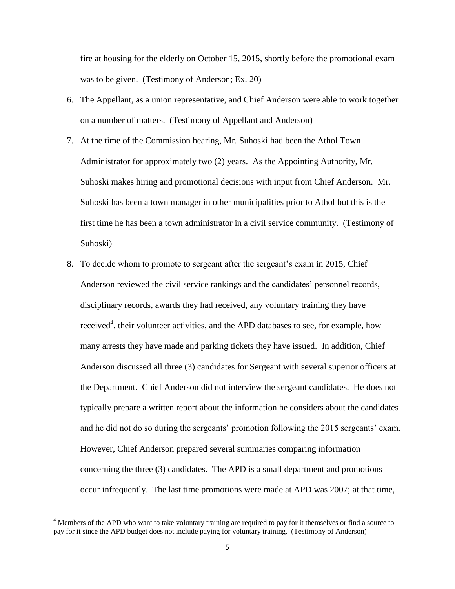fire at housing for the elderly on October 15, 2015, shortly before the promotional exam was to be given. (Testimony of Anderson; Ex. 20)

- 6. The Appellant, as a union representative, and Chief Anderson were able to work together on a number of matters. (Testimony of Appellant and Anderson)
- 7. At the time of the Commission hearing, Mr. Suhoski had been the Athol Town Administrator for approximately two (2) years. As the Appointing Authority, Mr. Suhoski makes hiring and promotional decisions with input from Chief Anderson. Mr. Suhoski has been a town manager in other municipalities prior to Athol but this is the first time he has been a town administrator in a civil service community. (Testimony of Suhoski)
- 8. To decide whom to promote to sergeant after the sergeant's exam in 2015, Chief Anderson reviewed the civil service rankings and the candidates' personnel records, disciplinary records, awards they had received, any voluntary training they have received<sup>4</sup>, their volunteer activities, and the APD databases to see, for example, how many arrests they have made and parking tickets they have issued. In addition, Chief Anderson discussed all three (3) candidates for Sergeant with several superior officers at the Department. Chief Anderson did not interview the sergeant candidates. He does not typically prepare a written report about the information he considers about the candidates and he did not do so during the sergeants' promotion following the 2015 sergeants' exam. However, Chief Anderson prepared several summaries comparing information concerning the three (3) candidates. The APD is a small department and promotions occur infrequently. The last time promotions were made at APD was 2007; at that time,

<sup>&</sup>lt;sup>4</sup> Members of the APD who want to take voluntary training are required to pay for it themselves or find a source to pay for it since the APD budget does not include paying for voluntary training. (Testimony of Anderson)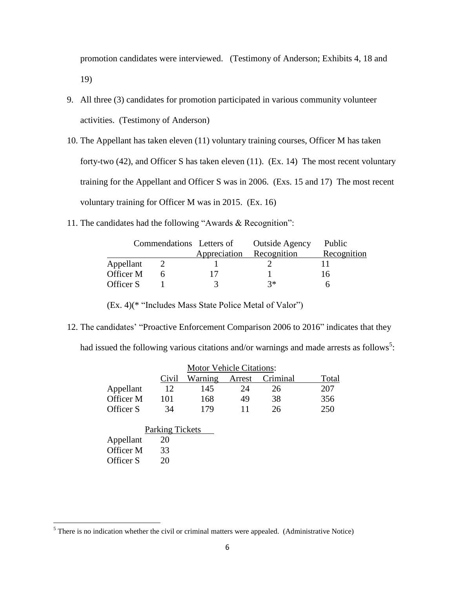promotion candidates were interviewed. (Testimony of Anderson; Exhibits 4, 18 and 19)

- 9. All three (3) candidates for promotion participated in various community volunteer activities. (Testimony of Anderson)
- 10. The Appellant has taken eleven (11) voluntary training courses, Officer M has taken forty-two (42), and Officer S has taken eleven (11). (Ex. 14) The most recent voluntary training for the Appellant and Officer S was in 2006. (Exs. 15 and 17) The most recent voluntary training for Officer M was in 2015. (Ex. 16)
- 11. The candidates had the following "Awards & Recognition":

|           |  | Commendations Letters of | <b>Outside Agency</b> | Public      |
|-----------|--|--------------------------|-----------------------|-------------|
|           |  | Appreciation             | Recognition           | Recognition |
| Appellant |  |                          |                       |             |
| Officer M |  |                          |                       | 16          |
| Officer S |  |                          | マ*                    |             |

(Ex. 4)(\* "Includes Mass State Police Metal of Valor")

12. The candidates' "Proactive Enforcement Comparison 2006 to 2016" indicates that they

had issued the following various citations and/or warnings and made arrests as follows<sup>5</sup>:

| <b>Motor Vehicle Citations:</b> |       |         |    |                 |       |
|---------------------------------|-------|---------|----|-----------------|-------|
|                                 | Civil | Warning |    | Arrest Criminal | Total |
| Appellant                       | 12    | 145     | 24 | 26              | 207   |
| Officer M                       | 101   | 168     | 49 | 38              | 356   |
| Officer S                       | 34    | 179     |    | 26              | 250   |

|           | <b>Parking Tickets</b> |  |
|-----------|------------------------|--|
| Appellant | 20                     |  |
| Officer M | 33                     |  |
| Officer S | 20                     |  |

 $<sup>5</sup>$  There is no indication whether the civil or criminal matters were appealed. (Administrative Notice)</sup>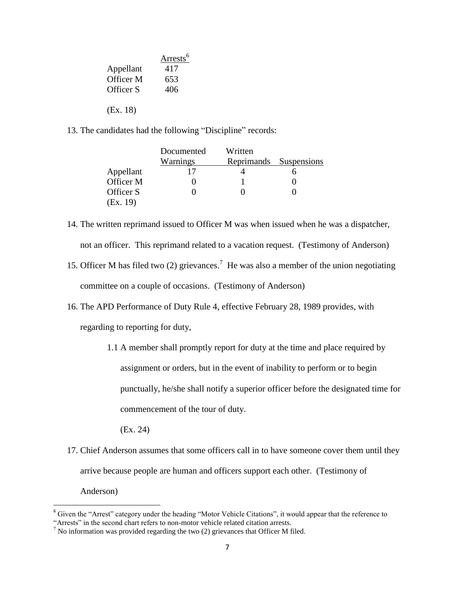|           | Arrests <sup>6</sup> |
|-----------|----------------------|
| Appellant | 417                  |
| Officer M | 653                  |
| Officer S | 406                  |
|           |                      |
| (EX. 18)  |                      |

13. The candidates had the following "Discipline" records:

|           | Documented | Written    |             |
|-----------|------------|------------|-------------|
|           | Warnings   | Reprimands | Suspensions |
| Appellant |            |            |             |
| Officer M |            |            |             |
| Officer S |            |            |             |
| (EX. 19)  |            |            |             |

- 14. The written reprimand issued to Officer M was when issued when he was a dispatcher, not an officer. This reprimand related to a vacation request. (Testimony of Anderson)
- 15. Officer M has filed two  $(2)$  grievances.<sup>7</sup> He was also a member of the union negotiating committee on a couple of occasions. (Testimony of Anderson)
- 16. The APD Performance of Duty Rule 4, effective February 28, 1989 provides, with regarding to reporting for duty,
	- 1.1 A member shall promptly report for duty at the time and place required by assignment or orders, but in the event of inability to perform or to begin punctually, he/she shall notify a superior officer before the designated time for commencement of the tour of duty.
		- (Ex. 24)

 $\overline{\phantom{a}}$ 

17. Chief Anderson assumes that some officers call in to have someone cover them until they arrive because people are human and officers support each other. (Testimony of Anderson)

 $6$  Given the "Arrest" category under the heading "Motor Vehicle Citations", it would appear that the reference to "Arrests" in the second chart refers to non-motor vehicle related citation arrests.

 $<sup>7</sup>$  No information was provided regarding the two (2) grievances that Officer M filed.</sup>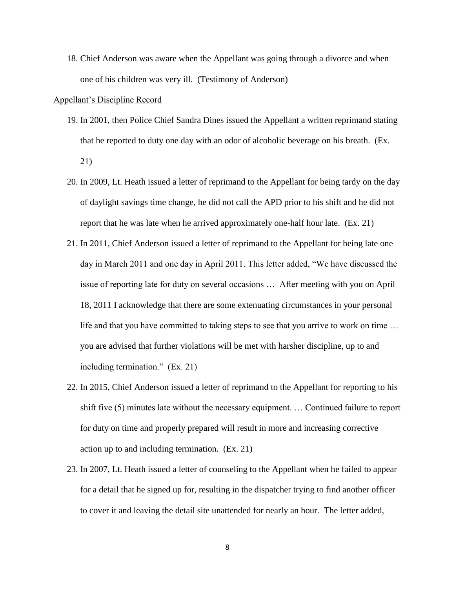18. Chief Anderson was aware when the Appellant was going through a divorce and when one of his children was very ill. (Testimony of Anderson)

### Appellant's Discipline Record

- 19. In 2001, then Police Chief Sandra Dines issued the Appellant a written reprimand stating that he reported to duty one day with an odor of alcoholic beverage on his breath. (Ex. 21)
- 20. In 2009, Lt. Heath issued a letter of reprimand to the Appellant for being tardy on the day of daylight savings time change, he did not call the APD prior to his shift and he did not report that he was late when he arrived approximately one-half hour late. (Ex. 21)
- 21. In 2011, Chief Anderson issued a letter of reprimand to the Appellant for being late one day in March 2011 and one day in April 2011. This letter added, "We have discussed the issue of reporting late for duty on several occasions … After meeting with you on April 18, 2011 I acknowledge that there are some extenuating circumstances in your personal life and that you have committed to taking steps to see that you arrive to work on time … you are advised that further violations will be met with harsher discipline, up to and including termination." (Ex. 21)
- 22. In 2015, Chief Anderson issued a letter of reprimand to the Appellant for reporting to his shift five (5) minutes late without the necessary equipment. … Continued failure to report for duty on time and properly prepared will result in more and increasing corrective action up to and including termination. (Ex. 21)
- 23. In 2007, Lt. Heath issued a letter of counseling to the Appellant when he failed to appear for a detail that he signed up for, resulting in the dispatcher trying to find another officer to cover it and leaving the detail site unattended for nearly an hour. The letter added,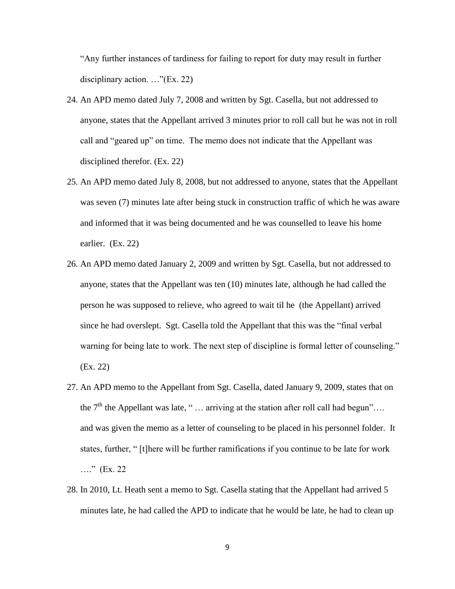"Any further instances of tardiness for failing to report for duty may result in further disciplinary action. …"(Ex. 22)

- 24. An APD memo dated July 7, 2008 and written by Sgt. Casella, but not addressed to anyone, states that the Appellant arrived 3 minutes prior to roll call but he was not in roll call and "geared up" on time. The memo does not indicate that the Appellant was disciplined therefor. (Ex. 22)
- 25. An APD memo dated July 8, 2008, but not addressed to anyone, states that the Appellant was seven (7) minutes late after being stuck in construction traffic of which he was aware and informed that it was being documented and he was counselled to leave his home earlier. (Ex. 22)
- 26. An APD memo dated January 2, 2009 and written by Sgt. Casella, but not addressed to anyone, states that the Appellant was ten (10) minutes late, although he had called the person he was supposed to relieve, who agreed to wait til he (the Appellant) arrived since he had overslept. Sgt. Casella told the Appellant that this was the "final verbal warning for being late to work. The next step of discipline is formal letter of counseling." (Ex. 22)
- 27. An APD memo to the Appellant from Sgt. Casella, dated January 9, 2009, states that on the  $7<sup>th</sup>$  the Appellant was late, " ... arriving at the station after roll call had begun"... and was given the memo as a letter of counseling to be placed in his personnel folder. It states, further, " [t]here will be further ramifications if you continue to be late for work …." (Ex. 22)
- 28. In 2010, Lt. Heath sent a memo to Sgt. Casella stating that the Appellant had arrived 5 minutes late, he had called the APD to indicate that he would be late, he had to clean up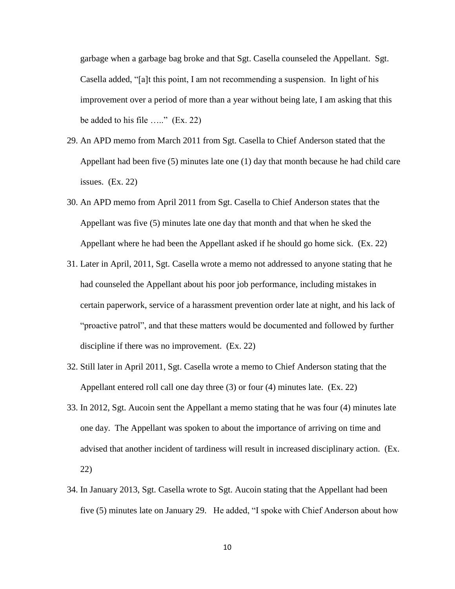garbage when a garbage bag broke and that Sgt. Casella counseled the Appellant. Sgt. Casella added, "[a]t this point, I am not recommending a suspension. In light of his improvement over a period of more than a year without being late, I am asking that this be added to his file ….." (Ex. 22)

- 29. An APD memo from March 2011 from Sgt. Casella to Chief Anderson stated that the Appellant had been five (5) minutes late one (1) day that month because he had child care issues. (Ex. 22)
- 30. An APD memo from April 2011 from Sgt. Casella to Chief Anderson states that the Appellant was five (5) minutes late one day that month and that when he sked the Appellant where he had been the Appellant asked if he should go home sick. (Ex. 22)
- 31. Later in April, 2011, Sgt. Casella wrote a memo not addressed to anyone stating that he had counseled the Appellant about his poor job performance, including mistakes in certain paperwork, service of a harassment prevention order late at night, and his lack of "proactive patrol", and that these matters would be documented and followed by further discipline if there was no improvement. (Ex. 22)
- 32. Still later in April 2011, Sgt. Casella wrote a memo to Chief Anderson stating that the Appellant entered roll call one day three (3) or four (4) minutes late. (Ex. 22)
- 33. In 2012, Sgt. Aucoin sent the Appellant a memo stating that he was four (4) minutes late one day. The Appellant was spoken to about the importance of arriving on time and advised that another incident of tardiness will result in increased disciplinary action. (Ex. 22)
- 34. In January 2013, Sgt. Casella wrote to Sgt. Aucoin stating that the Appellant had been five (5) minutes late on January 29. He added, "I spoke with Chief Anderson about how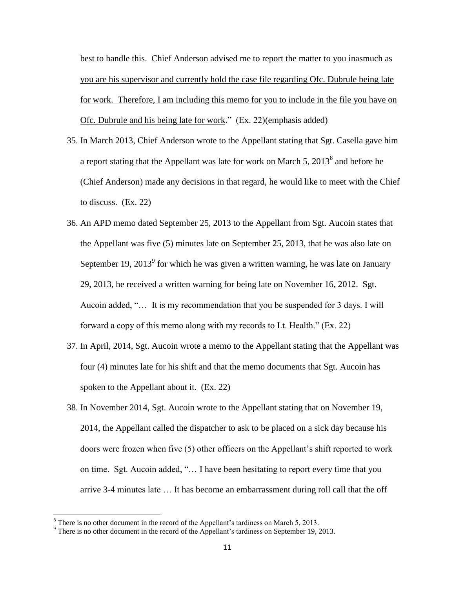best to handle this. Chief Anderson advised me to report the matter to you inasmuch as you are his supervisor and currently hold the case file regarding Ofc. Dubrule being late for work. Therefore, I am including this memo for you to include in the file you have on Ofc. Dubrule and his being late for work." (Ex. 22)(emphasis added)

- 35. In March 2013, Chief Anderson wrote to the Appellant stating that Sgt. Casella gave him a report stating that the Appellant was late for work on March 5,  $2013^8$  and before he (Chief Anderson) made any decisions in that regard, he would like to meet with the Chief to discuss. (Ex. 22)
- 36. An APD memo dated September 25, 2013 to the Appellant from Sgt. Aucoin states that the Appellant was five (5) minutes late on September 25, 2013, that he was also late on September 19, 2013<sup>9</sup> for which he was given a written warning, he was late on January 29, 2013, he received a written warning for being late on November 16, 2012. Sgt. Aucoin added, "… It is my recommendation that you be suspended for 3 days. I will forward a copy of this memo along with my records to Lt. Health." (Ex. 22)
- 37. In April, 2014, Sgt. Aucoin wrote a memo to the Appellant stating that the Appellant was four (4) minutes late for his shift and that the memo documents that Sgt. Aucoin has spoken to the Appellant about it. (Ex. 22)
- 38. In November 2014, Sgt. Aucoin wrote to the Appellant stating that on November 19, 2014, the Appellant called the dispatcher to ask to be placed on a sick day because his doors were frozen when five (5) other officers on the Appellant's shift reported to work on time. Sgt. Aucoin added, "… I have been hesitating to report every time that you arrive 3-4 minutes late … It has become an embarrassment during roll call that the off

 $8$  There is no other document in the record of the Appellant's tardiness on March 5, 2013.

<sup>9</sup> There is no other document in the record of the Appellant's tardiness on September 19, 2013.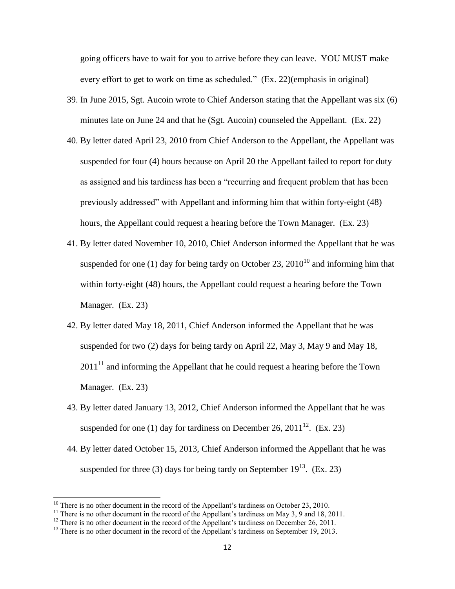going officers have to wait for you to arrive before they can leave. YOU MUST make every effort to get to work on time as scheduled." (Ex. 22)(emphasis in original)

- 39. In June 2015, Sgt. Aucoin wrote to Chief Anderson stating that the Appellant was six (6) minutes late on June 24 and that he (Sgt. Aucoin) counseled the Appellant. (Ex. 22)
- 40. By letter dated April 23, 2010 from Chief Anderson to the Appellant, the Appellant was suspended for four (4) hours because on April 20 the Appellant failed to report for duty as assigned and his tardiness has been a "recurring and frequent problem that has been previously addressed" with Appellant and informing him that within forty-eight (48) hours, the Appellant could request a hearing before the Town Manager. (Ex. 23)
- 41. By letter dated November 10, 2010, Chief Anderson informed the Appellant that he was suspended for one (1) day for being tardy on October 23,  $2010^{10}$  and informing him that within forty-eight (48) hours, the Appellant could request a hearing before the Town Manager. (Ex. 23)
- 42. By letter dated May 18, 2011, Chief Anderson informed the Appellant that he was suspended for two (2) days for being tardy on April 22, May 3, May 9 and May 18,  $2011<sup>11</sup>$  and informing the Appellant that he could request a hearing before the Town Manager. (Ex. 23)
- 43. By letter dated January 13, 2012, Chief Anderson informed the Appellant that he was suspended for one (1) day for tardiness on December 26,  $2011^{12}$ . (Ex. 23)
- 44. By letter dated October 15, 2013, Chief Anderson informed the Appellant that he was suspended for three (3) days for being tardy on September  $19^{13}$ . (Ex. 23)

<sup>&</sup>lt;sup>10</sup> There is no other document in the record of the Appellant's tardiness on October 23, 2010.

<sup>&</sup>lt;sup>11</sup> There is no other document in the record of the Appellant's tardiness on May 3, 9 and 18, 2011.

<sup>&</sup>lt;sup>12</sup> There is no other document in the record of the Appellant's tardiness on December 26, 2011.

<sup>&</sup>lt;sup>13</sup> There is no other document in the record of the Appellant's tardiness on September 19, 2013.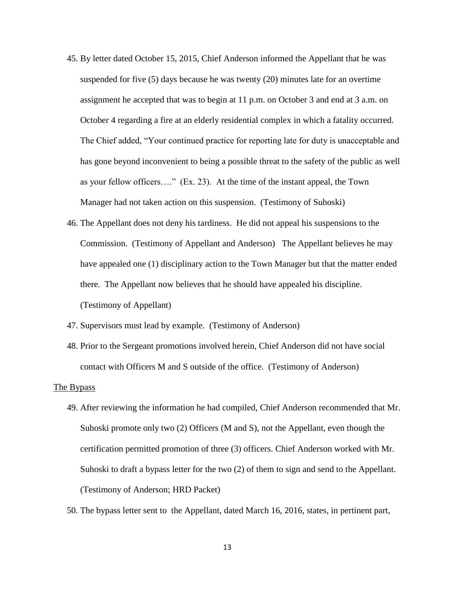- 45. By letter dated October 15, 2015, Chief Anderson informed the Appellant that he was suspended for five (5) days because he was twenty (20) minutes late for an overtime assignment he accepted that was to begin at 11 p.m. on October 3 and end at 3 a.m. on October 4 regarding a fire at an elderly residential complex in which a fatality occurred. The Chief added, "Your continued practice for reporting late for duty is unacceptable and has gone beyond inconvenient to being a possible threat to the safety of the public as well as your fellow officers…." (Ex. 23). At the time of the instant appeal, the Town Manager had not taken action on this suspension. (Testimony of Suhoski)
- 46. The Appellant does not deny his tardiness. He did not appeal his suspensions to the Commission. (Testimony of Appellant and Anderson) The Appellant believes he may have appealed one (1) disciplinary action to the Town Manager but that the matter ended there. The Appellant now believes that he should have appealed his discipline. (Testimony of Appellant)
- 47. Supervisors must lead by example. (Testimony of Anderson)
- 48. Prior to the Sergeant promotions involved herein, Chief Anderson did not have social contact with Officers M and S outside of the office. (Testimony of Anderson)

#### The Bypass

- 49. After reviewing the information he had compiled, Chief Anderson recommended that Mr. Suhoski promote only two (2) Officers (M and S), not the Appellant, even though the certification permitted promotion of three (3) officers. Chief Anderson worked with Mr. Suhoski to draft a bypass letter for the two (2) of them to sign and send to the Appellant. (Testimony of Anderson; HRD Packet)
- 50. The bypass letter sent to the Appellant, dated March 16, 2016, states, in pertinent part,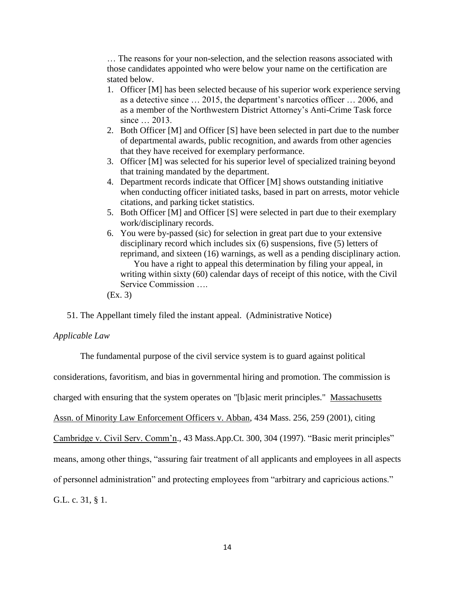… The reasons for your non-selection, and the selection reasons associated with those candidates appointed who were below your name on the certification are stated below.

- 1. Officer [M] has been selected because of his superior work experience serving as a detective since … 2015, the department's narcotics officer … 2006, and as a member of the Northwestern District Attorney's Anti-Crime Task force since … 2013.
- 2. Both Officer [M] and Officer [S] have been selected in part due to the number of departmental awards, public recognition, and awards from other agencies that they have received for exemplary performance.
- 3. Officer [M] was selected for his superior level of specialized training beyond that training mandated by the department.
- 4. Department records indicate that Officer [M] shows outstanding initiative when conducting officer initiated tasks, based in part on arrests, motor vehicle citations, and parking ticket statistics.
- 5. Both Officer [M] and Officer [S] were selected in part due to their exemplary work/disciplinary records.
- 6. You were by-passed (sic) for selection in great part due to your extensive disciplinary record which includes six (6) suspensions, five (5) letters of reprimand, and sixteen (16) warnings, as well as a pending disciplinary action. You have a right to appeal this determination by filing your appeal, in writing within sixty (60) calendar days of receipt of this notice, with the Civil Service Commission ….
- (Ex. 3)

51. The Appellant timely filed the instant appeal. (Administrative Notice)

# *Applicable Law*

The fundamental purpose of the civil service system is to guard against political

considerations, favoritism, and bias in governmental hiring and promotion. The commission is

charged with ensuring that the system operates on "[b]asic merit principles." Massachusetts

Assn. of Minority Law Enforcement Officers v. Abban, 434 Mass. 256, 259 (2001), citing

Cambridge v. Civil Serv. Comm'n., 43 Mass.App.Ct. 300, 304 (1997). "Basic merit principles"

means, among other things, "assuring fair treatment of all applicants and employees in all aspects

of personnel administration" and protecting employees from "arbitrary and capricious actions."

G.L. c. 31, § 1.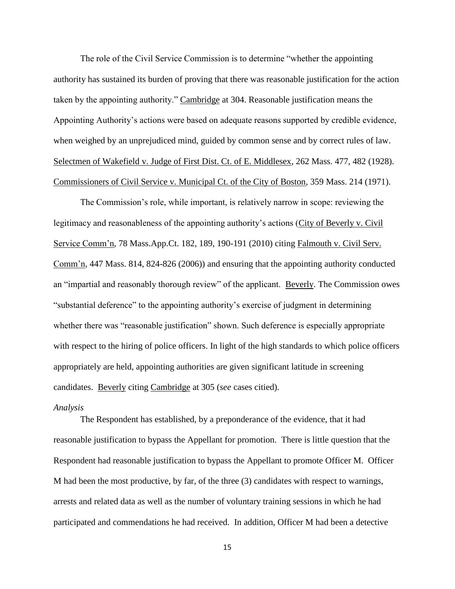The role of the Civil Service Commission is to determine "whether the appointing authority has sustained its burden of proving that there was reasonable justification for the action taken by the appointing authority." Cambridge at 304. Reasonable justification means the Appointing Authority's actions were based on adequate reasons supported by credible evidence, when weighed by an unprejudiced mind, guided by common sense and by correct rules of law. Selectmen of Wakefield v. Judge of First Dist. Ct. of E. Middlesex, 262 Mass. 477, 482 (1928). Commissioners of Civil Service v. Municipal Ct. of the City of Boston, 359 Mass. 214 (1971).

The Commission's role, while important, is relatively narrow in scope: reviewing the legitimacy and reasonableness of the appointing authority's actions (City of Beverly v. Civil Service Comm'n, 78 Mass.App.Ct. 182, 189, 190-191 (2010) citing Falmouth v. Civil Serv. Comm'n, 447 Mass. 814, 824-826 (2006)) and ensuring that the appointing authority conducted an "impartial and reasonably thorough review" of the applicant. Beverly. The Commission owes "substantial deference" to the appointing authority's exercise of judgment in determining whether there was "reasonable justification" shown. Such deference is especially appropriate with respect to the hiring of police officers. In light of the high standards to which police officers appropriately are held, appointing authorities are given significant latitude in screening candidates. Beverly citing Cambridge at 305 (*see* cases citied).

#### *Analysis*

The Respondent has established, by a preponderance of the evidence, that it had reasonable justification to bypass the Appellant for promotion. There is little question that the Respondent had reasonable justification to bypass the Appellant to promote Officer M. Officer M had been the most productive, by far, of the three (3) candidates with respect to warnings, arrests and related data as well as the number of voluntary training sessions in which he had participated and commendations he had received. In addition, Officer M had been a detective

15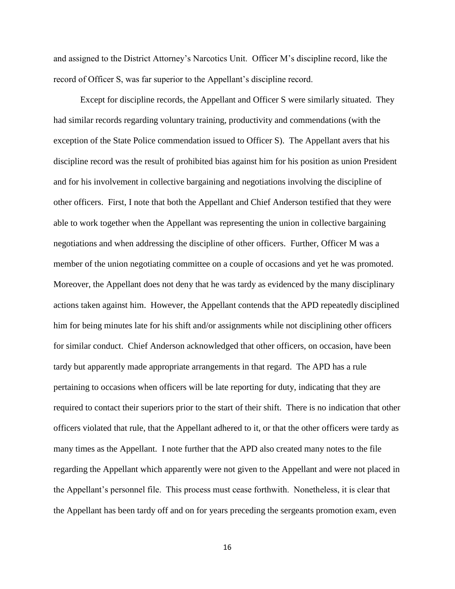and assigned to the District Attorney's Narcotics Unit. Officer M's discipline record, like the record of Officer S, was far superior to the Appellant's discipline record.

Except for discipline records, the Appellant and Officer S were similarly situated. They had similar records regarding voluntary training, productivity and commendations (with the exception of the State Police commendation issued to Officer S). The Appellant avers that his discipline record was the result of prohibited bias against him for his position as union President and for his involvement in collective bargaining and negotiations involving the discipline of other officers. First, I note that both the Appellant and Chief Anderson testified that they were able to work together when the Appellant was representing the union in collective bargaining negotiations and when addressing the discipline of other officers. Further, Officer M was a member of the union negotiating committee on a couple of occasions and yet he was promoted. Moreover, the Appellant does not deny that he was tardy as evidenced by the many disciplinary actions taken against him. However, the Appellant contends that the APD repeatedly disciplined him for being minutes late for his shift and/or assignments while not disciplining other officers for similar conduct. Chief Anderson acknowledged that other officers, on occasion, have been tardy but apparently made appropriate arrangements in that regard. The APD has a rule pertaining to occasions when officers will be late reporting for duty, indicating that they are required to contact their superiors prior to the start of their shift. There is no indication that other officers violated that rule, that the Appellant adhered to it, or that the other officers were tardy as many times as the Appellant. I note further that the APD also created many notes to the file regarding the Appellant which apparently were not given to the Appellant and were not placed in the Appellant's personnel file. This process must cease forthwith. Nonetheless, it is clear that the Appellant has been tardy off and on for years preceding the sergeants promotion exam, even

16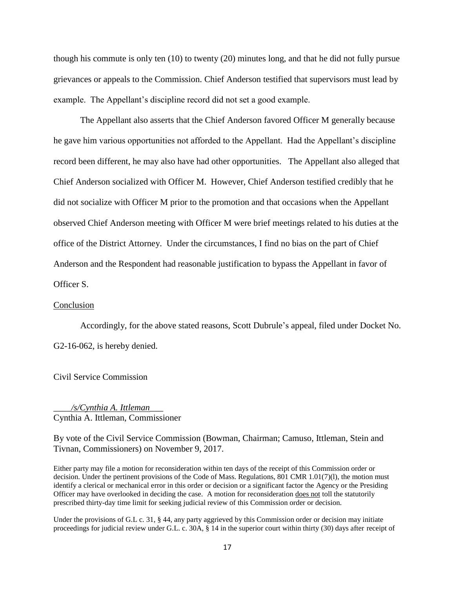though his commute is only ten (10) to twenty (20) minutes long, and that he did not fully pursue grievances or appeals to the Commission. Chief Anderson testified that supervisors must lead by example. The Appellant's discipline record did not set a good example.

The Appellant also asserts that the Chief Anderson favored Officer M generally because he gave him various opportunities not afforded to the Appellant. Had the Appellant's discipline record been different, he may also have had other opportunities. The Appellant also alleged that Chief Anderson socialized with Officer M. However, Chief Anderson testified credibly that he did not socialize with Officer M prior to the promotion and that occasions when the Appellant observed Chief Anderson meeting with Officer M were brief meetings related to his duties at the office of the District Attorney. Under the circumstances, I find no bias on the part of Chief Anderson and the Respondent had reasonable justification to bypass the Appellant in favor of Officer S.

#### Conclusion

Accordingly, for the above stated reasons, Scott Dubrule's appeal, filed under Docket No. G2-16-062, is hereby denied.

Civil Service Commission

\_\_\_\_*/s/Cynthia A. Ittleman*\_\_\_ Cynthia A. Ittleman, Commissioner

By vote of the Civil Service Commission (Bowman, Chairman; Camuso, Ittleman, Stein and Tivnan, Commissioners) on November 9, 2017.

Either party may file a motion for reconsideration within ten days of the receipt of this Commission order or decision. Under the pertinent provisions of the Code of Mass. Regulations, 801 CMR 1.01(7)(l), the motion must identify a clerical or mechanical error in this order or decision or a significant factor the Agency or the Presiding Officer may have overlooked in deciding the case. A motion for reconsideration does not toll the statutorily prescribed thirty-day time limit for seeking judicial review of this Commission order or decision.

Under the provisions of G.L c. 31, § 44, any party aggrieved by this Commission order or decision may initiate proceedings for judicial review under G.L. c. 30A, § 14 in the superior court within thirty (30) days after receipt of